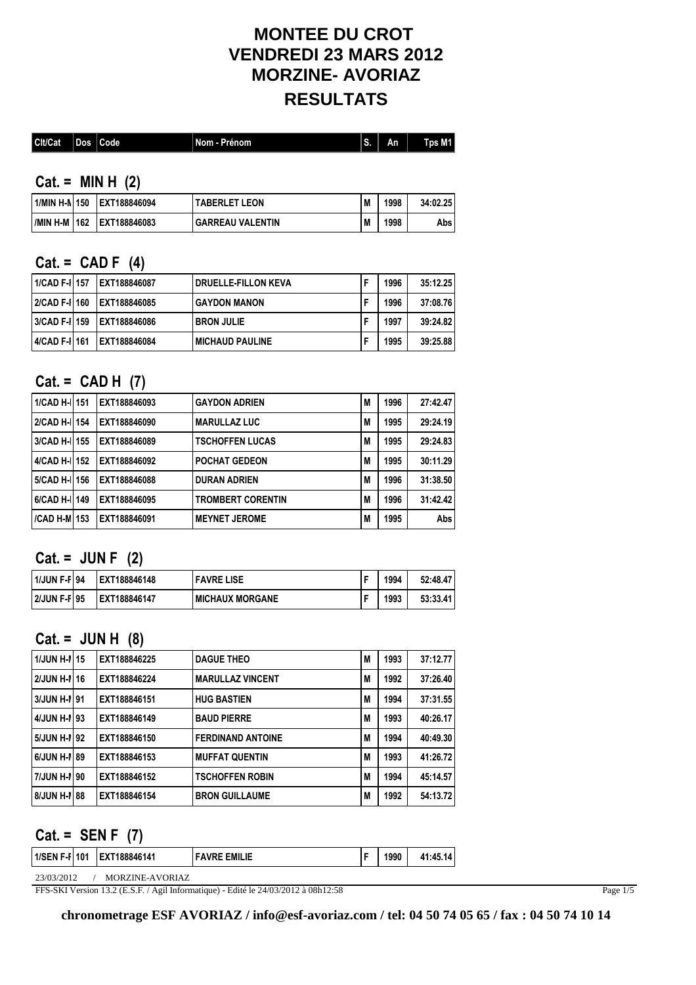## **MONTEE DU CROT VENDREDI 23 MARS 2012 MORZINE- AVORIAZ RESULTATS**

| Cit/Cat | Dos Code | Nom - Prénom | An | Tps $M1$ |
|---------|----------|--------------|----|----------|
|         |          |              |    |          |

**Cat. = MIN H (2)**

|  | 1/MIN H-N 150 LEXT188846094    | <b>TABERLET LEON</b>    | M | 1998 | 34:02.25 |
|--|--------------------------------|-------------------------|---|------|----------|
|  | I/MIN H-M   162   EXT188846083 | <b>GARREAU VALENTIN</b> | M | 1998 | Absl     |

#### **Cat. = CAD F (4)**

| 1/CAD F-I  157 | <b>IEXT188846087</b>        | DRUELLE-FILLON KEVA      | 1996 | 35:12.25 |
|----------------|-----------------------------|--------------------------|------|----------|
|                | 2/CAD F-11160 LEXT188846085 | I GAYDON MANON           | 1996 | 37:08.76 |
|                | 3/CAD F-I 159 EXT188846086  | <b>BRON JULIE</b>        | 1997 | 39:24.82 |
| 4/CAD F-I 161  | IEXT188846084               | <b>I MICHAUD PAULINE</b> | 1995 | 39:25.88 |

### **Cat. = CAD H (7)**

| 1/CAD H-I  151 | EXT188846093 | <b>GAYDON ADRIEN</b>     | M | 1996 | 27:42.47 |
|----------------|--------------|--------------------------|---|------|----------|
| 2/CAD H-I  154 | EXT188846090 | <b>MARULLAZ LUC</b>      | M | 1995 | 29:24.19 |
| 3/CAD H-I 155  | EXT188846089 | <b>TSCHOFFEN LUCAS</b>   | M | 1995 | 29:24.83 |
| 4/CAD H-I 152  | EXT188846092 | <b>POCHAT GEDEON</b>     | M | 1995 | 30:11.29 |
| 5/CAD H-I 156  | EXT188846088 | <b>DURAN ADRIEN</b>      | M | 1996 | 31:38.50 |
| 6/CAD H-I  149 | EXT188846095 | <b>TROMBERT CORENTIN</b> | M | 1996 | 31:42.42 |
| /CAD H-M  153  | EXT188846091 | <b>MEYNET JEROME</b>     | M | 1995 | Abs      |

### **Cat. = JUN F (2)**

| 1/JUN F-F   94      | IEXT188846148 | <b>FAVRE LISE</b> | 1994 | 52:48.47 |
|---------------------|---------------|-------------------|------|----------|
| <b>2/JUN F-F195</b> | EXT188846147  | I MICHAUX MORGANE | 1993 | 53:33.41 |

#### **Cat. = JUN H (8)**

| 1/JUN H-N 15 | EXT188846225 | <b>DAGUE THEO</b>        | M | 1993 | 37:12.77 |
|--------------|--------------|--------------------------|---|------|----------|
| 2/JUN H-1 16 | EXT188846224 | <b>MARULLAZ VINCENT</b>  | M | 1992 | 37:26.40 |
| 3/JUN H-N 91 | EXT188846151 | <b>HUG BASTIEN</b>       | M | 1994 | 37:31.55 |
| 4/JUN H-N 93 | EXT188846149 | <b>BAUD PIERRE</b>       | M | 1993 | 40:26.17 |
| 5/JUN H-1 92 | EXT188846150 | <b>FERDINAND ANTOINE</b> | M | 1994 | 40:49.30 |
| 6/JUN H-N 89 | EXT188846153 | <b>MUFFAT QUENTIN</b>    | M | 1993 | 41:26.72 |
| 7/JUN H-N 90 | EXT188846152 | <b>TSCHOFFEN ROBIN</b>   | M | 1994 | 45:14.57 |
| 8/JUN H-N 88 | EXT188846154 | <b>BRON GUILLAUME</b>    | M | 1992 | 54:13.72 |

#### **Cat. = SEN F (7)**

| <b>EMILIE</b><br><b>EXT188846141</b><br>F-F1101<br>1/SEN<br>1990<br><b>EAVDE</b><br>.14 |
|-----------------------------------------------------------------------------------------|
|-----------------------------------------------------------------------------------------|

23/03/2012 / MORZINE-AVORIAZ

FFS-SKI Version 13.2 (E.S.F. / Agil Informatique) - Edité le 24/03/2012 à 08h12:58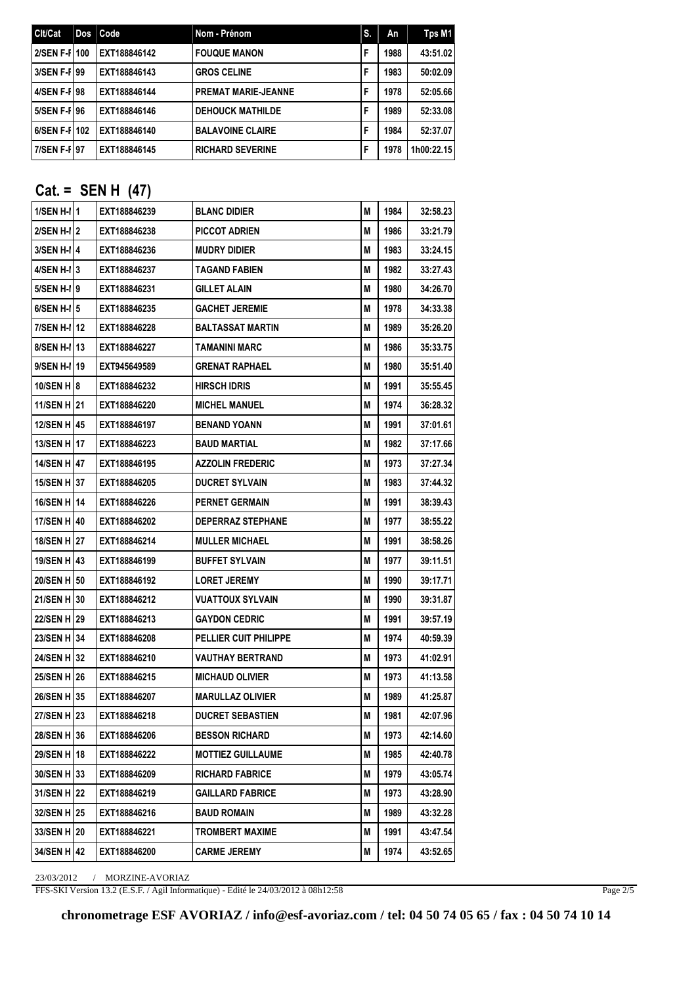| Cit/Cat       | Dos Code     | Nom - Prénom               | IS. | An   | Tps M1     |
|---------------|--------------|----------------------------|-----|------|------------|
| 2/SEN F-F 100 | EXT188846142 | <b>FOUQUE MANON</b>        | F   | 1988 | 43:51.02   |
| 3/SEN F-I 99  | EXT188846143 | <b>GROS CELINE</b>         | F   | 1983 | 50:02.09   |
| 4/SEN F-F 98  | EXT188846144 | <b>PREMAT MARIE-JEANNE</b> | F   | 1978 | 52:05.66   |
| 5/SEN F-I 96  | EXT188846146 | <b>DEHOUCK MATHILDE</b>    | F   | 1989 | 52:33.08   |
| 6/SEN F-F 102 | EXT188846140 | <b>BALAVOINE CLAIRE</b>    | F   | 1984 | 52:37.07   |
| 7/SEN F-F 97  | EXT188846145 | <b>RICHARD SEVERINE</b>    | F   | 1978 | 1h00:22.15 |

## **Cat. = SEN H (47)**

| 1/SEN H-II1        | EXT188846239 | <b>BLANC DIDIER</b>          | М | 1984 | 32:58.23 |
|--------------------|--------------|------------------------------|---|------|----------|
| 2/SEN H-I 2        | EXT188846238 | PICCOT ADRIEN                | M | 1986 | 33:21.79 |
| 3/SEN H-I 4        | EXT188846236 | <b>MUDRY DIDIER</b>          | М | 1983 | 33:24.15 |
| 4/SEN H-I 3        | EXT188846237 | TAGAND FABIEN                | М | 1982 | 33:27.43 |
| 5/SEN H-II 9       | EXT188846231 | GILLET ALAIN                 | M | 1980 | 34:26.70 |
| $6/SEM$ H-I $5$    | EXT188846235 | <b>GACHET JEREMIE</b>        | M | 1978 | 34:33.38 |
| 7/SEN H-I 12       | EXT188846228 | <b>BALTASSAT MARTIN</b>      | М | 1989 | 35:26.20 |
| 8/SEN H-I 13       | EXT188846227 | TAMANINI MARC                | М | 1986 | 35:33.75 |
| 9/SEN H-I 19       | EXT945649589 | GRENAT RAPHAEL               | M | 1980 | 35:51.40 |
| 10/SEN H 8         | EXT188846232 | <b>HIRSCH IDRIS</b>          | М | 1991 | 35:55.45 |
| 11/SEN H 21        | EXT188846220 | <b>MICHEL MANUEL</b>         | М | 1974 | 36:28.32 |
| 12/SEN H 45        | EXT188846197 | <b>BENAND YOANN</b>          | M | 1991 | 37:01.61 |
| 13/SEN H   17      | EXT188846223 | <b>BAUD MARTIAL</b>          | М | 1982 | 37:17.66 |
| 14/SEN H147        | EXT188846195 | <b>AZZOLIN FREDERIC</b>      | М | 1973 | 37:27.34 |
| <b>15/SEN H 37</b> | EXT188846205 | <b>DUCRET SYLVAIN</b>        | М | 1983 | 37:44.32 |
| 16/SEN H 14        | EXT188846226 | <b>PERNET GERMAIN</b>        | М | 1991 | 38:39.43 |
| 17/SEN H 40        | EXT188846202 | <b>DEPERRAZ STEPHANE</b>     | М | 1977 | 38:55.22 |
|                    | EXT188846214 | <b>MULLER MICHAEL</b>        | М | 1991 | 38:58.26 |
| 19/SEN H   43      | EXT188846199 | <b>BUFFET SYLVAIN</b>        | M | 1977 | 39:11.51 |
| 20/SEN H   50      | EXT188846192 | <b>LORET JEREMY</b>          | М | 1990 | 39:17.71 |
| 21/SEN H 30        | EXT188846212 | VUATTOUX SYLVAIN             | М | 1990 | 39:31.87 |
| 22/SEN H 29        | EXT188846213 | <b>GAYDON CEDRIC</b>         | М | 1991 | 39:57.19 |
| 23/SEN H   34      | EXT188846208 | <b>PELLIER CUIT PHILIPPE</b> | М | 1974 | 40:59.39 |
| 24/SEN H 32        | EXT188846210 | VAUTHAY BERTRAND             | М | 1973 | 41:02.91 |
| 25/SEN H   26      | EXT188846215 | <b>MICHAUD OLIVIER</b>       | M | 1973 | 41:13.58 |
| 26/SEN H 35        | EXT188846207 | <b>MARULLAZ OLIVIER</b>      | М | 1989 | 41:25.87 |
| 27/SEN H 23        | EXT188846218 | <b>DUCRET SEBASTIEN</b>      | М | 1981 | 42:07.96 |
| 28/SEN H 36        | EXT188846206 | <b>BESSON RICHARD</b>        | М | 1973 | 42:14.60 |
| 29/SEN H 18        | EXT188846222 | <b>MOTTIEZ GUILLAUME</b>     | M | 1985 | 42:40.78 |
| 30/SEN H 33        | EXT188846209 | <b>RICHARD FABRICE</b>       | M | 1979 | 43:05.74 |
| 31/SEN H 22        | EXT188846219 | <b>GAILLARD FABRICE</b>      | M | 1973 | 43:28.90 |
| 32/SEN H 25        | EXT188846216 | <b>BAUD ROMAIN</b>           | M | 1989 | 43:32.28 |
| 33/SEN H 20        | EXT188846221 | <b>TROMBERT MAXIME</b>       | M | 1991 | 43:47.54 |
| 34/SEN H 42        | EXT188846200 | <b>CARME JEREMY</b>          | M | 1974 | 43:52.65 |

23/03/2012 / MORZINE-AVORIAZ

FFS-SKI Version 13.2 (E.S.F. / Agil Informatique) - Edité le 24/03/2012 à 08h12:58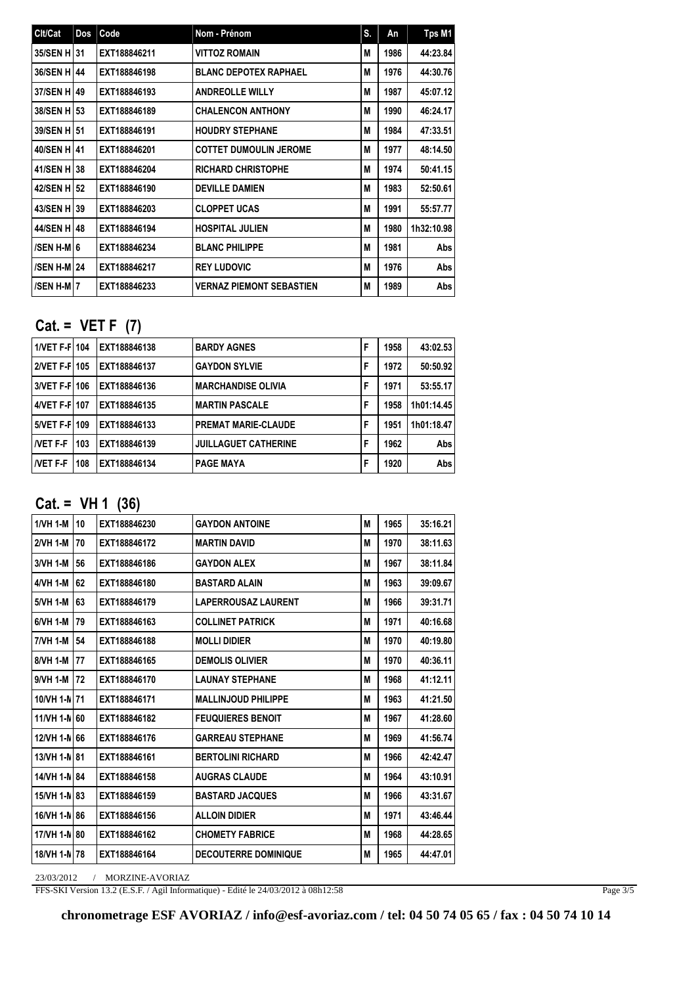| Clt/Cat            | Dos Code     | Nom - Prénom                    | S. | An   | Tps M1     |
|--------------------|--------------|---------------------------------|----|------|------------|
| 35/SEN H131        | EXT188846211 | <b>VITTOZ ROMAIN</b>            | M  | 1986 | 44:23.84   |
| 36/SEN H   44      | EXT188846198 | <b>BLANC DEPOTEX RAPHAEL</b>    | M  | 1976 | 44:30.76   |
| 37/SEN H   49      | EXT188846193 | <b>ANDREOLLE WILLY</b>          | M  | 1987 | 45:07.12   |
| 38/SEN H   53      | EXT188846189 | <b>CHALENCON ANTHONY</b>        | M  | 1990 | 46:24.17   |
| 39/SEN H151        | EXT188846191 | <b>HOUDRY STEPHANE</b>          | M  | 1984 | 47:33.51   |
| 40/SEN H   41      | EXT188846201 | <b>COTTET DUMOULIN JEROME</b>   | M  | 1977 | 48:14.50   |
| 41/SEN H 38        | EXT188846204 | <b>RICHARD CHRISTOPHE</b>       | M  | 1974 | 50:41.15   |
| 42/SEN H   52      | EXT188846190 | <b>DEVILLE DAMIEN</b>           | M  | 1983 | 52:50.61   |
| 43/SEN H 39        | EXT188846203 | <b>CLOPPET UCAS</b>             | M  | 1991 | 55:57.77   |
| 44/SEN H 48        | EXT188846194 | <b>HOSPITAL JULIEN</b>          | M  | 1980 | 1h32:10.98 |
| /SEN H-M16         | EXT188846234 | <b>BLANC PHILIPPE</b>           | M  | 1981 | Abs        |
| <b>/SEN H-M 24</b> | EXT188846217 | <b>REY LUDOVIC</b>              | M  | 1976 | Abs        |
| /SEN H-MI7         | EXT188846233 | <b>VERNAZ PIEMONT SEBASTIEN</b> | M  | 1989 | Abs        |

# **Cat. = VET F (7)**

| 1/VET F-F 104  |     | EXT188846138 | <b>BARDY AGNES</b>          | 1958 | 43:02.53   |
|----------------|-----|--------------|-----------------------------|------|------------|
| 2/VET F-F 105  |     | EXT188846137 | <b>GAYDON SYLVIE</b>        | 1972 | 50:50.92   |
| 3/VET F-F 106  |     | EXT188846136 | <b>MARCHANDISE OLIVIA</b>   | 1971 | 53:55.17   |
| 4/VET F-F 107  |     | EXT188846135 | <b>MARTIN PASCALE</b>       | 1958 | 1h01:14.45 |
| 5/VET F-F 109  |     | EXT188846133 | <b>PREMAT MARIE-CLAUDE</b>  | 1951 | 1h01:18.47 |
| <b>NET F-F</b> | 103 | EXT188846139 | <b>JUILLAGUET CATHERINE</b> | 1962 | Abs I      |
| <b>NET F-F</b> | 108 | EXT188846134 | <b>PAGE MAYA</b>            | 1920 | Abs I      |

# **Cat. = VH 1 (36)**

| 1/VH 1-M     | 10 | EXT188846230 | <b>GAYDON ANTOINE</b>       | M | 1965 | 35:16.21 |
|--------------|----|--------------|-----------------------------|---|------|----------|
| 2/VH 1-M     | 70 | EXT188846172 | <b>MARTIN DAVID</b>         | M | 1970 | 38:11.63 |
| 3/VH 1-M     | 56 | EXT188846186 | <b>GAYDON ALEX</b>          | M | 1967 | 38:11.84 |
| 4/VH 1-M     | 62 | EXT188846180 | <b>BASTARD ALAIN</b>        | M | 1963 | 39:09.67 |
| 5/VH 1-M     | 63 | EXT188846179 | <b>LAPERROUSAZ LAURENT</b>  | M | 1966 | 39:31.71 |
| 6/VH 1-M     | 79 | EXT188846163 | <b>COLLINET PATRICK</b>     | M | 1971 | 40:16.68 |
| 17/VH 1-M    | 54 | EXT188846188 | <b>MOLLI DIDIER</b>         | M | 1970 | 40:19.80 |
| 8/VH 1-M     | 77 | EXT188846165 | <b>DEMOLIS OLIVIER</b>      | M | 1970 | 40:36.11 |
| 9/VH 1-M     | 72 | EXT188846170 | <b>LAUNAY STEPHANE</b>      | M | 1968 | 41:12.11 |
| 10/VH 1-N 71 |    | EXT188846171 | <b>MALLINJOUD PHILIPPE</b>  | М | 1963 | 41:21.50 |
| 11/VH 1-N 60 |    | EXT188846182 | <b>FEUQUIERES BENOIT</b>    | M | 1967 | 41:28.60 |
| 12/VH 1-N 66 |    | EXT188846176 | <b>GARREAU STEPHANE</b>     | M | 1969 | 41:56.74 |
| 13/VH 1-N 81 |    | EXT188846161 | <b>BERTOLINI RICHARD</b>    | M | 1966 | 42:42.47 |
| 14/VH 1-N 84 |    | EXT188846158 | <b>AUGRAS CLAUDE</b>        | M | 1964 | 43:10.91 |
| 15/VH 1-N 83 |    | EXT188846159 | <b>BASTARD JACQUES</b>      | M | 1966 | 43:31.67 |
| 16/VH 1-N 86 |    | EXT188846156 | <b>ALLOIN DIDIER</b>        | M | 1971 | 43:46.44 |
| 17/VH 1-N 80 |    | EXT188846162 | <b>CHOMETY FABRICE</b>      | M | 1968 | 44:28.65 |
| 18/VH 1-N 78 |    | EXT188846164 | <b>DECOUTERRE DOMINIQUE</b> | M | 1965 | 44:47.01 |

23/03/2012 / MORZINE-AVORIAZ

FFS-SKI Version 13.2 (E.S.F. / Agil Informatique) - Edité le 24/03/2012 à 08h12:58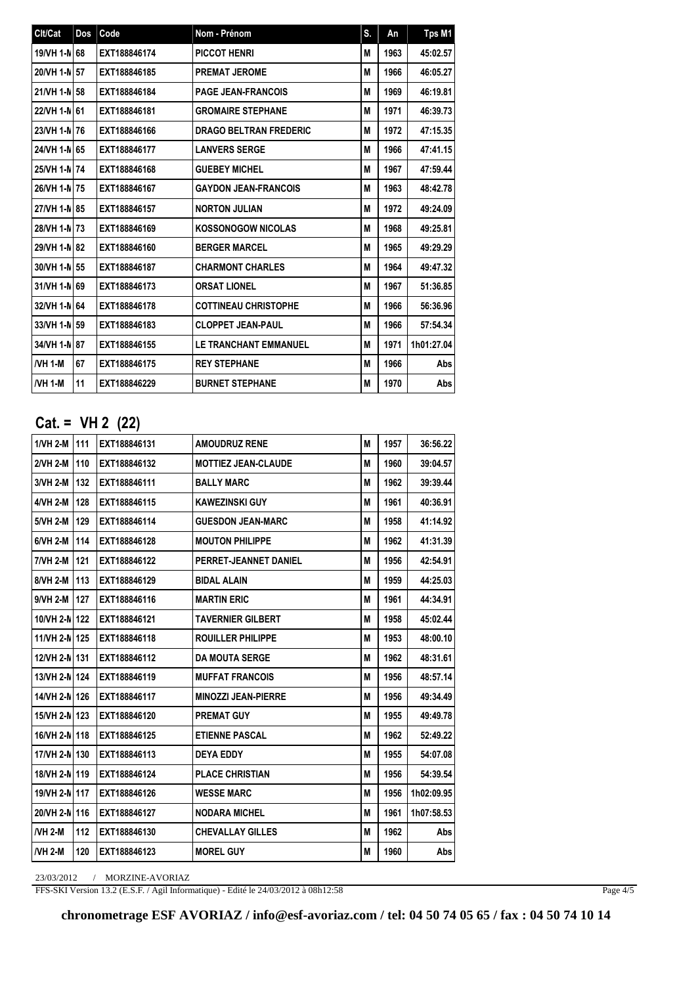| Clt/Cat      | Dos | Code         | Nom - Prénom                  | S. | An   | Tps M1     |
|--------------|-----|--------------|-------------------------------|----|------|------------|
| 19/VH 1-N 68 |     | EXT188846174 | <b>PICCOT HENRI</b>           | M  | 1963 | 45:02.57   |
| 20/VH 1-N 57 |     | EXT188846185 | <b>PREMAT JEROME</b>          | M  | 1966 | 46:05.27   |
| 21/VH 1-N 58 |     | EXT188846184 | <b>PAGE JEAN-FRANCOIS</b>     | M  | 1969 | 46:19.81   |
| 22/VH 1-N 61 |     | EXT188846181 | <b>GROMAIRE STEPHANE</b>      | M  | 1971 | 46:39.73   |
| 23/VH 1-N 76 |     | EXT188846166 | <b>DRAGO BELTRAN FREDERIC</b> | M  | 1972 | 47:15.35   |
| 24/VH 1-N 65 |     | EXT188846177 | <b>LANVERS SERGE</b>          | М  | 1966 | 47:41.15   |
| 25/VH 1-N 74 |     | EXT188846168 | <b>GUEBEY MICHEL</b>          | М  | 1967 | 47:59.44   |
| 26/VH 1-N 75 |     | EXT188846167 | <b>GAYDON JEAN-FRANCOIS</b>   | М  | 1963 | 48:42.78   |
| 27/VH 1-N 85 |     | EXT188846157 | <b>NORTON JULIAN</b>          | M  | 1972 | 49:24.09   |
| 28/VH 1-N 73 |     | EXT188846169 | <b>KOSSONOGOW NICOLAS</b>     | М  | 1968 | 49:25.81   |
| 29/VH 1-N 82 |     | EXT188846160 | <b>BERGER MARCEL</b>          | М  | 1965 | 49:29.29   |
| 30/VH 1-N 55 |     | EXT188846187 | <b>CHARMONT CHARLES</b>       | М  | 1964 | 49:47.32   |
| 31/VH 1-N 69 |     | EXT188846173 | <b>ORSAT LIONEL</b>           | М  | 1967 | 51:36.85   |
| 32/VH 1-N 64 |     | EXT188846178 | <b>COTTINEAU CHRISTOPHE</b>   | М  | 1966 | 56:36.96   |
| 33/VH 1-N 59 |     | EXT188846183 | <b>CLOPPET JEAN-PAUL</b>      | М  | 1966 | 57:54.34   |
| 34/VH 1-N 87 |     | EXT188846155 | <b>LE TRANCHANT EMMANUEL</b>  | М  | 1971 | 1h01:27.04 |
| /VH 1-M      | 67  | EXT188846175 | <b>REY STEPHANE</b>           | М  | 1966 | Abs        |
| /VH 1-M      | 11  | EXT188846229 | <b>BURNET STEPHANE</b>        | М  | 1970 | Abs        |

# **Cat. = VH 2 (22)**

| 1/VH 2-M   111 |     | EXT188846131 | <b>AMOUDRUZ RENE</b>       | M | 1957 | 36:56.22   |
|----------------|-----|--------------|----------------------------|---|------|------------|
| 2/VH 2-M       | 110 | EXT188846132 | <b>MOTTIEZ JEAN-CLAUDE</b> | М | 1960 | 39:04.57   |
| 3/VH 2-M       | 132 | EXT188846111 | <b>BALLY MARC</b>          | M | 1962 | 39:39.44   |
| 4/VH 2-M       | 128 | EXT188846115 | <b>KAWEZINSKI GUY</b>      | M | 1961 | 40:36.91   |
| 5/VH 2-M       | 129 | EXT188846114 | <b>GUESDON JEAN-MARC</b>   | М | 1958 | 41:14.92   |
| 6/VH 2-M       | 114 | EXT188846128 | <b>MOUTON PHILIPPE</b>     | M | 1962 | 41:31.39   |
| 7/VH 2-M       | 121 | EXT188846122 | PERRET-JEANNET DANIEL      | M | 1956 | 42:54.91   |
| 8/VH 2-M       | 113 | EXT188846129 | <b>BIDAL ALAIN</b>         | М | 1959 | 44:25.03   |
| 9/VH 2-M       | 127 | EXT188846116 | <b>MARTIN ERIC</b>         | M | 1961 | 44:34.91   |
| 10/VH 2-N 122  |     | EXT188846121 | <b>TAVERNIER GILBERT</b>   | M | 1958 | 45:02.44   |
| 11/VH 2-N 125  |     | EXT188846118 | <b>ROUILLER PHILIPPE</b>   | M | 1953 | 48:00.10   |
| 12/VH 2-N 131  |     | EXT188846112 | <b>DA MOUTA SERGE</b>      | M | 1962 | 48:31.61   |
| 13/VH 2-N 124  |     | EXT188846119 | <b>MUFFAT FRANCOIS</b>     | M | 1956 | 48:57.14   |
| 14/VH 2-N 126  |     | EXT188846117 | <b>MINOZZI JEAN-PIERRE</b> | M | 1956 | 49:34.49   |
| 15/VH 2-N  123 |     | EXT188846120 | <b>PREMAT GUY</b>          | М | 1955 | 49:49.78   |
| 16/VH 2-N 118  |     | EXT188846125 | <b>ETIENNE PASCAL</b>      | M | 1962 | 52:49.22   |
| 17/VH 2-N 130  |     | EXT188846113 | <b>DEYA EDDY</b>           | M | 1955 | 54:07.08   |
| 18/VH 2-N 119  |     | EXT188846124 | <b>PLACE CHRISTIAN</b>     | M | 1956 | 54:39.54   |
| 19/VH 2-N 117  |     | EXT188846126 | <b>WESSE MARC</b>          | M | 1956 | 1h02:09.95 |
| 20/VH 2-N 116  |     | EXT188846127 | <b>NODARA MICHEL</b>       | M | 1961 | 1h07:58.53 |
| <b>NH 2-M</b>  | 112 | EXT188846130 | <b>CHEVALLAY GILLES</b>    | М | 1962 | Abs        |
| <b>NH 2-M</b>  | 120 | EXT188846123 | <b>MOREL GUY</b>           | M | 1960 | Abs        |

23/03/2012 / MORZINE-AVORIAZ

FFS-SKI Version 13.2 (E.S.F. / Agil Informatique) - Edité le 24/03/2012 à 08h12:58